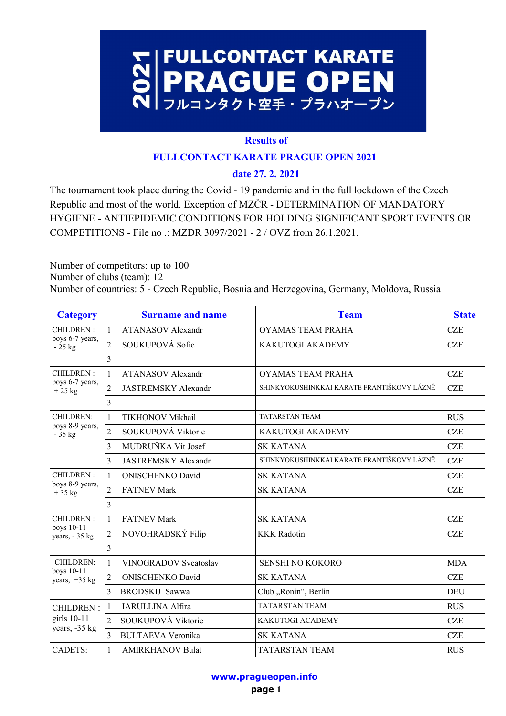

### **Results of**

### **FULLCONTACT KARATE PRAGUE OPEN 2021**

# **date 27. 2. 2021**

The tournament took place during the Covid - 19 pandemic and in the full lockdown of the Czech Republic and most of the world. Exception of MZČR - DETERMINATION OF MANDATORY HYGIENE - ANTIEPIDEMIC CONDITIONS FOR HOLDING SIGNIFICANT SPORT EVENTS OR COMPETITIONS - File no .: MZDR 3097/2021 - 2 / OVZ from 26.1.2021.

Number of competitors: up to 100 Number of clubs (team): 12 Number of countries: 5 - Czech Republic, Bosnia and Herzegovina, Germany, Moldova, Russia

| <b>Category</b>                            |                | <b>Surname and name</b>    | <b>Team</b>                                | <b>State</b> |
|--------------------------------------------|----------------|----------------------------|--------------------------------------------|--------------|
| CHILDREN:<br>boys 6-7 years,<br>$-25$ kg   | $\mathbf{1}$   | <b>ATANASOV</b> Alexandr   | <b>OYAMAS TEAM PRAHA</b>                   | <b>CZE</b>   |
|                                            | $\overline{2}$ | SOUKUPOVÁ Sofie            | KAKUTOGI AKADEMY                           | <b>CZE</b>   |
|                                            | 3              |                            |                                            |              |
| CHILDREN:<br>boys 6-7 years,<br>$+25$ kg   | $\mathbf{1}$   | <b>ATANASOV</b> Alexandr   | <b>OYAMAS TEAM PRAHA</b>                   | <b>CZE</b>   |
|                                            | $\overline{2}$ | <b>JASTREMSKY Alexandr</b> | SHINKYOKUSHINKKAI KARATE FRANTIŠKOVY LÁZNĚ | <b>CZE</b>   |
|                                            | 3              |                            |                                            |              |
| CHILDREN:<br>boys 8-9 years,<br>$-35$ kg   | $\mathbf{1}$   | TIKHONOV Mikhail           | <b>TATARSTAN TEAM</b>                      | <b>RUS</b>   |
|                                            | $\overline{2}$ | SOUKUPOVÁ Viktorie         | <b>KAKUTOGI AKADEMY</b>                    | <b>CZE</b>   |
|                                            | 3              | MUDRUŇKA Vít Josef         | <b>SK KATANA</b>                           | <b>CZE</b>   |
|                                            | 3              | <b>JASTREMSKY Alexandr</b> | SHINKYOKUSHINKKAI KARATE FRANTIŠKOVY LÁZNĚ | <b>CZE</b>   |
| CHILDREN:<br>boys 8-9 years,<br>$+35$ kg   | $\mathbf{1}$   | <b>ONISCHENKO David</b>    | <b>SK KATANA</b>                           | <b>CZE</b>   |
|                                            | $\overline{2}$ | <b>FATNEV Mark</b>         | <b>SK KATANA</b>                           | <b>CZE</b>   |
|                                            | 3              |                            |                                            |              |
| CHILDREN:<br>boys 10-11<br>years, $-35$ kg | $\mathbf{1}$   | <b>FATNEV Mark</b>         | <b>SK KATANA</b>                           | <b>CZE</b>   |
|                                            | $\overline{2}$ | NOVOHRADSKÝ Filip          | <b>KKK Radotin</b>                         | <b>CZE</b>   |
|                                            | 3              |                            |                                            |              |
| CHILDREN:<br>boys 10-11<br>years, $+35$ kg | $\mathbf{1}$   | VINOGRADOV Sveatoslav      | SENSHI NO KOKORO                           | <b>MDA</b>   |
|                                            | $\mathfrak{2}$ | <b>ONISCHENKO David</b>    | <b>SK KATANA</b>                           | <b>CZE</b>   |
|                                            | 3              | BRODSKIJ Sawwa             | Club "Ronin", Berlin                       | DEU          |
| <b>CHILDREN:</b>                           | 1              | <b>IARULLINA Alfira</b>    | <b>TATARSTAN TEAM</b>                      | <b>RUS</b>   |
| girls 10-11<br>years, -35 kg               | $\overline{2}$ | SOUKUPOVÁ Viktorie         | <b>KAKUTOGI ACADEMY</b>                    | <b>CZE</b>   |
|                                            | $\overline{3}$ | <b>BULTAEVA Veronika</b>   | <b>SK KATANA</b>                           | <b>CZE</b>   |
| <b>CADETS:</b>                             | 1              | <b>AMIRKHANOV Bulat</b>    | TATARSTAN TEAM                             | <b>RUS</b>   |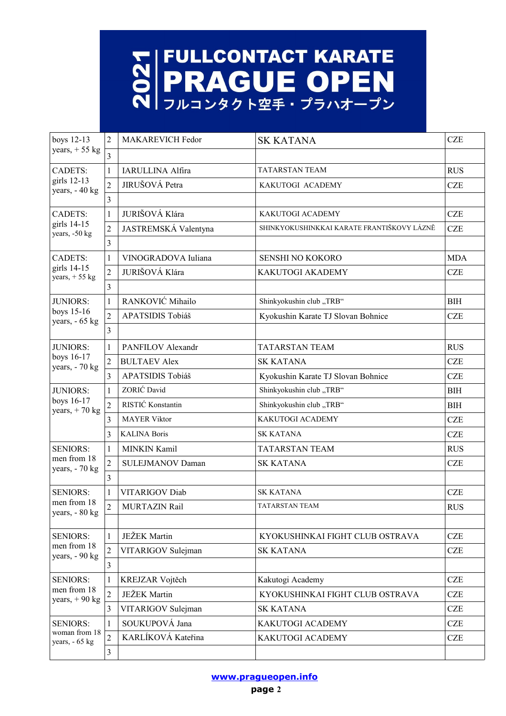# **NEULLCONTACT KARATE**<br> **NEAGUE OPEN**<br>
NEAGUE OPEN

| boys 12-13<br>years, $+55$ kg                                                                                          | 2              | <b>MAKAREVICH Fedor</b> | <b>SK KATANA</b>                           | <b>CZE</b> |
|------------------------------------------------------------------------------------------------------------------------|----------------|-------------------------|--------------------------------------------|------------|
|                                                                                                                        | $\overline{3}$ |                         |                                            |            |
| <b>CADETS:</b><br>girls 12-13<br>years, - 40 kg                                                                        | $\mathbf{1}$   | <b>IARULLINA Alfira</b> | <b>TATARSTAN TEAM</b>                      | <b>RUS</b> |
|                                                                                                                        | $\overline{2}$ | JIRUŠOVÁ Petra          | KAKUTOGI ACADEMY                           | <b>CZE</b> |
|                                                                                                                        | 3              |                         |                                            |            |
| <b>CADETS:</b>                                                                                                         | $\mathbf{1}$   | JURIŠOVÁ Klára          | KAKUTOGI ACADEMY                           | <b>CZE</b> |
| girls 14-15<br>years, -50 kg                                                                                           | $\overline{c}$ | JASTREMSKÁ Valentyna    | SHINKYOKUSHINKKAI KARATE FRANTIŠKOVY LÁZNĚ | <b>CZE</b> |
|                                                                                                                        | 3              |                         |                                            |            |
| <b>CADETS:</b><br>girls 14-15<br>years, $+55$ kg                                                                       | 1              | VINOGRADOVA Iuliana     | SENSHI NO KOKORO                           | <b>MDA</b> |
|                                                                                                                        | $\overline{c}$ | JURIŠOVÁ Klára          | KAKUTOGI AKADEMY                           | <b>CZE</b> |
|                                                                                                                        | 3              |                         |                                            |            |
| <b>JUNIORS:</b>                                                                                                        | 1              | RANKOVIĆ Mihailo        | Shinkyokushin club "TRB"                   | <b>BIH</b> |
| boys 15-16<br>years, - 65 kg                                                                                           | $\overline{2}$ | APATSIDIS Tobiáš        | Kyokushin Karate TJ Slovan Bohnice         | <b>CZE</b> |
|                                                                                                                        | 3              |                         |                                            |            |
| <b>JUNIORS:</b>                                                                                                        | 1              | PANFILOV Alexandr       | <b>TATARSTAN TEAM</b>                      | <b>RUS</b> |
| boys 16-17<br>years, - 70 kg                                                                                           | $\overline{2}$ | <b>BULTAEV Alex</b>     | <b>SK KATANA</b>                           | <b>CZE</b> |
|                                                                                                                        | $\overline{3}$ | APATSIDIS Tobiáš        | Kyokushin Karate TJ Slovan Bohnice         | <b>CZE</b> |
| <b>JUNIORS:</b>                                                                                                        | 1              | ZORIĆ David             | Shinkyokushin club "TRB"                   | <b>BIH</b> |
| boys 16-17<br>years, $+70$ kg                                                                                          | $\overline{2}$ | RISTIĆ Konstantin       | Shinkyokushin club "TRB"                   | <b>BIH</b> |
|                                                                                                                        | 3              | <b>MAYER Viktor</b>     | KAKUTOGI ACADEMY                           | <b>CZE</b> |
|                                                                                                                        | 3              | <b>KALINA Boris</b>     | <b>SK KATANA</b>                           | <b>CZE</b> |
| <b>SENIORS:</b>                                                                                                        | $\mathbf{1}$   | MINKIN Kamil            | <b>TATARSTAN TEAM</b>                      | <b>RUS</b> |
| men from 18<br>years, - 70 kg                                                                                          | $\overline{2}$ | <b>SULEJMANOV Daman</b> | <b>SK KATANA</b>                           | <b>CZE</b> |
|                                                                                                                        | 3              |                         |                                            |            |
| <b>SENIORS:</b>                                                                                                        | 1              | VITARIGOV Diab          | <b>SK KATANA</b>                           | <b>CZE</b> |
| men from 18<br>years, - 80 kg                                                                                          | $\overline{2}$ | <b>MURTAZIN Rail</b>    | TATARSTAN TEAM                             | <b>RUS</b> |
|                                                                                                                        |                |                         |                                            |            |
| <b>SENIORS:</b>                                                                                                        | $\mathbf{1}$   | JEŽEK Martin            | KYOKUSHINKAI FIGHT CLUB OSTRAVA            | <b>CZE</b> |
| men from 18<br>years, - 90 kg                                                                                          | $\overline{c}$ | VITARIGOV Sulejman      | <b>SK KATANA</b>                           | <b>CZE</b> |
|                                                                                                                        | $\mathfrak{Z}$ |                         |                                            |            |
| <b>SENIORS:</b>                                                                                                        | $\mathbf{1}$   | KREJZAR Vojtěch         | Kakutogi Academy                           | <b>CZE</b> |
| men from 18<br>$\overline{2}$<br><b>JEŽEK</b> Martin<br>years, $+90$ kg<br>3<br>VITARIGOV Sulejman<br><b>SK KATANA</b> |                |                         | KYOKUSHINKAI FIGHT CLUB OSTRAVA            | <b>CZE</b> |
|                                                                                                                        |                | <b>CZE</b>              |                                            |            |
| <b>SENIORS:</b>                                                                                                        | 1              | SOUKUPOVÁ Jana          | KAKUTOGI ACADEMY                           | <b>CZE</b> |
| woman from 18<br>years, - 65 kg                                                                                        | $\overline{2}$ | KARLÍKOVÁ Kateřina      | KAKUTOGI ACADEMY                           | <b>CZE</b> |
|                                                                                                                        | 3              |                         |                                            |            |